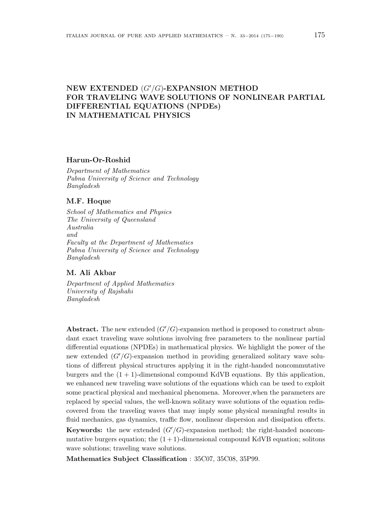# NEW EXTENDED  $(G'/G)$ -EXPANSION METHOD FOR TRAVELING WAVE SOLUTIONS OF NONLINEAR PARTIAL DIFFERENTIAL EQUATIONS (NPDEs) IN MATHEMATICAL PHYSICS

### Harun-Or-Roshid

Department of Mathematics Pabna University of Science and Technology Bangladesh

# M.F. Hoque

School of Mathematics and Physics The University of Queensland Australia and Faculty at the Department of Mathematics Pabna University of Science and Technology Bangladesh

# M. Ali Akbar

Department of Applied Mathematics University of Rajshahi Bangladesh

Abstract. The new extended  $(G'/G)$ -expansion method is proposed to construct abundant exact traveling wave solutions involving free parameters to the nonlinear partial differential equations (NPDEs) in mathematical physics. We highlight the power of the new extended  $(G'/G)$ -expansion method in providing generalized solitary wave solutions of different physical structures applying it in the right-handed noncommutative burgers and the  $(1 + 1)$ -dimensional compound KdVB equations. By this application, we enhanced new traveling wave solutions of the equations which can be used to exploit some practical physical and mechanical phenomena. Moreover,when the parameters are replaced by special values, the well-known solitary wave solutions of the equation rediscovered from the traveling waves that may imply some physical meaningful results in fluid mechanics, gas dynamics, traffic flow, nonlinear dispersion and dissipation effects.

**Keywords:** the new extended  $(G'/G)$ -expansion method; the right-handed noncommutative burgers equation; the  $(1 + 1)$ -dimensional compound KdVB equation; solitons wave solutions; traveling wave solutions.

Mathematics Subject Classification : 35C07, 35C08, 35P99.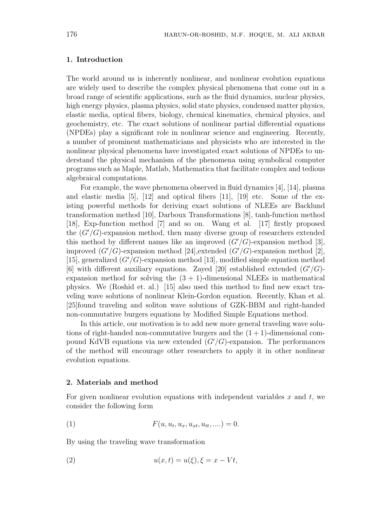### 1. Introduction

The world around us is inherently nonlinear, and nonlinear evolution equations are widely used to describe the complex physical phenomena that come out in a broad range of scientific applications, such as the fluid dynamics, nuclear physics, high energy physics, plasma physics, solid state physics, condensed matter physics, elastic media, optical fibers, biology, chemical kinematics, chemical physics, and geochemistry, etc. The exact solutions of nonlinear partial differential equations (NPDEs) play a significant role in nonlinear science and engineering. Recently, a number of prominent mathematicians and physicists who are interested in the nonlinear physical phenomena have investigated exact solutions of NPDEs to understand the physical mechanism of the phenomena using symbolical computer programs such as Maple, Matlab, Mathematica that facilitate complex and tedious algebraical computations.

For example, the wave phenomena observed in fluid dynamics [4], [14], plasma and elastic media  $[5]$ ,  $[12]$  and optical fibers  $[11]$ ,  $[19]$  etc. Some of the existing powerful methods for deriving exact solutions of NLEEs are Backlund transformation method [10], Darboux Transformations [8], tanh-function method [18], Exp-function method [7] and so on. Wang et al. [17] firstly proposed the  $(G'/G)$ -expansion method, then many diverse group of researchers extended this method by different names like an improved  $(G'/G)$ -expansion method [3], improved  $(G'/G)$ -expansion method [24], extended  $(G'/G)$ -expansion method [2], [15], generalized  $(G'/G)$ -expansion method [13], modified simple equation method [6] with different auxiliary equations. Zayed [20] established extended  $(G'/G)$ expansion method for solving the  $(3 + 1)$ -dimensional NLEEs in mathematical physics. We (Roshid et. al.) [15] also used this method to find new exact traveling wave solutions of nonlinear Klein-Gordon equation. Recently, Khan et al. [25]found traveling and soliton wave solutions of GZK-BBM and right-handed non-commutative burgers equations by Modified Simple Equations method.

In this article, our motivation is to add new more general traveling wave solutions of right-handed non-commutative burgers and the  $(1 + 1)$ -dimensional compound KdVB equations via new extended  $(G'/G)$ -expansion. The performances of the method will encourage other researchers to apply it in other nonlinear evolution equations.

#### 2. Materials and method

For given nonlinear evolution equations with independent variables  $x$  and  $t$ , we consider the following form

(1) 
$$
F(u, u_t, u_x, u_{xt}, u_{tt}, ...)=0.
$$

By using the traveling wave transformation

$$
(2) \qquad \qquad u(x,t) = u(\xi), \xi = x - Vt,
$$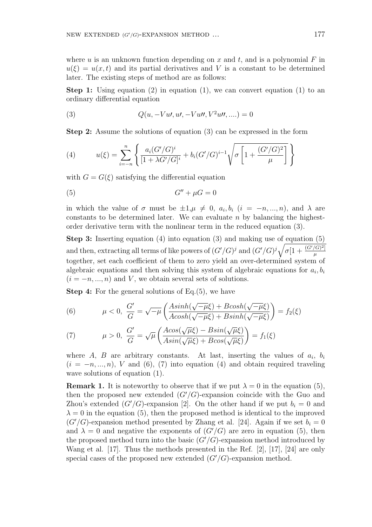where u is an unknown function depending on x and t, and is a polynomial  $F$  in  $u(\xi) = u(x, t)$  and its partial derivatives and V is a constant to be determined later. The existing steps of method are as follows:

**Step 1:** Using equation  $(2)$  in equation  $(1)$ , we can convert equation  $(1)$  to an ordinary differential equation

(3) 
$$
Q(u, -Vu, u', -Vu'', V^2 u'', ...)=0
$$

Step 2: Assume the solutions of equation (3) can be expressed in the form

(4) 
$$
u(\xi) = \sum_{i=-n}^{n} \left\{ \frac{a_i (G'/G)^i}{[1 + \lambda G'/G]^i} + b_i (G'/G)^{i-1} \sqrt{\sigma \left[ 1 + \frac{(G'/G)^2}{\mu} \right]} \right\}
$$

with  $G = G(\xi)$  satisfying the differential equation

$$
(5) \tG'' + \mu G = 0
$$

in which the value of  $\sigma$  must be  $\pm 1, \mu \neq 0, a_i, b_i$   $(i = -n, ..., n)$ , and  $\lambda$  are constants to be determined later. We can evaluate  $n$  by balancing the highestorder derivative term with the nonlinear term in the reduced equation (3).

**Step 3:** Inserting equation (4) into equation (3) and making use of equation  $(5)$ and then, extracting all terms of like powers of  $(G'/G)^j$  and  $(G'/G)^j \sqrt{\sigma[1 + \frac{(G'/G)^2}{n}}$  $\mu$ together, set each coefficient of them to zero yield an over-determined system of algebraic equations and then solving this system of algebraic equations for  $a_i, b_i$  $(i = -n, ..., n)$  and V, we obtain several sets of solutions.

Step 4: For the general solutions of Eq.(5), we have

(6) 
$$
\mu < 0, \frac{G'}{G} = \sqrt{-\mu} \left( \frac{A\sinh(\sqrt{-\mu}\xi) + B\cosh(\sqrt{-\mu}\xi)}{A\cosh(\sqrt{-\mu}\xi) + B\sinh(\sqrt{-\mu}\xi)} \right) = f_2(\xi)
$$

(7) 
$$
\mu > 0, \frac{G'}{G} = \sqrt{\mu} \left( \frac{A \cos(\sqrt{\mu \xi}) - B \sin(\sqrt{\mu \xi})}{A \sin(\sqrt{\mu \xi}) + B \cos(\sqrt{\mu \xi})} \right) = f_1(\xi)
$$

where  $A$ ,  $B$  are arbitrary constants. At last, inserting the values of  $a_i$ ,  $b_i$  $(i = -n, ..., n)$ , V and (6), (7) into equation (4) and obtain required traveling wave solutions of equation  $(1)$ .

**Remark 1.** It is noteworthy to observe that if we put  $\lambda = 0$  in the equation (5), then the proposed new extended  $(G'/G)$ -expansion coincide with the Guo and Zhou's extended  $(G'/G)$ -expansion [2]. On the other hand if we put  $b_i = 0$  and  $\lambda = 0$  in the equation (5), then the proposed method is identical to the improved  $(G'/G)$ -expansion method presented by Zhang et al. [24]. Again if we set  $b_i = 0$ and  $\lambda = 0$  and negative the exponents of  $(G'/G)$  are zero in equation (5), then the proposed method turn into the basic  $(G'/G)$ -expansion method introduced by Wang et al. [17]. Thus the methods presented in the Ref. [2], [17], [24] are only special cases of the proposed new extended  $(G'/G)$ -expansion method.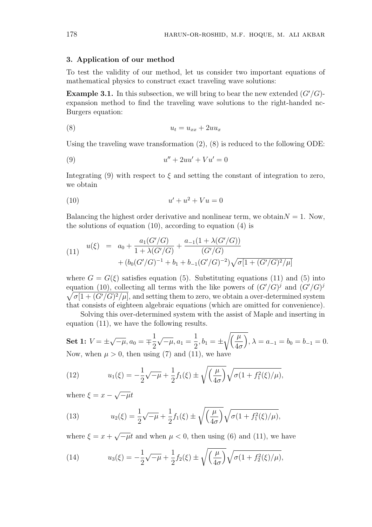#### 3. Application of our method

To test the validity of our method, let us consider two important equations of mathematical physics to construct exact traveling wave solutions:

**Example 3.1.** In this subsection, we will bring to bear the new extended  $(G'/G)$ expansion method to find the traveling wave solutions to the right-handed nc-Burgers equation:

$$
(8) \t\t\t u_t = u_{xx} + 2uu_x
$$

Using the traveling wave transformation (2), (8) is reduced to the following ODE:

$$
(9) \qquad \qquad u'' + 2uu' + Vu' = 0
$$

Integrating (9) with respect to  $\xi$  and setting the constant of integration to zero, we obtain

$$
(10) \qquad \qquad u' + u^2 + Vu = 0
$$

Balancing the highest order derivative and nonlinear term, we obtain  $N = 1$ . Now, the solutions of equation (10), according to equation (4) is

(11) 
$$
u(\xi) = a_0 + \frac{a_1(G'/G)}{1 + \lambda(G'/G)} + \frac{a_{-1}(1 + \lambda(G'/G))}{(G'/G)} + (b_0(G'/G)^{-1} + b_1 + b_{-1}(G'/G)^{-2})\sqrt{\sigma[1 + (G'/G)^2/\mu]}
$$

where  $G = G(\xi)$  satisfies equation (5). Substituting equations (11) and (5) into equation (10), collecting all terms with the like powers of  $(G'/G)^j$  and  $(G'/G)^j$  $\sigma[1 + (G'/G)^2/\mu]$ , and setting them to zero, we obtain a over-determined system that consists of eighteen algebraic equations (which are omitted for convenience).

Solving this over-determined system with the assist of Maple and inserting in equation (11), we have the following results.

Set 1:  $V = \pm$ √  $\overline{-\mu}$ ,  $a_0 = \pm$ 1 2 √  $\overline{-\mu}$ ,  $a_1 =$ 1  $\frac{1}{2}$ ,  $b_1 = \pm$  $\sqrt{u}$  $4\sigma$  $\overline{a}$ ,  $\lambda = a_{-1} = b_0 = b_{-1} = 0.$ Now, when  $\mu > 0$ , then using (7) and (11), we have

(12) 
$$
u_1(\xi) = -\frac{1}{2}\sqrt{-\mu} + \frac{1}{2}f_1(\xi) \pm \sqrt{\left(\frac{\mu}{4\sigma}\right)}\sqrt{\sigma(1 + f_1^2(\xi)/\mu)},
$$

where  $\xi = x -$ √  $=$ μt

(13) 
$$
u_2(\xi) = \frac{1}{2}\sqrt{-\mu} + \frac{1}{2}f_1(\xi) \pm \sqrt{\left(\frac{\mu}{4\sigma}\right)}\sqrt{\sigma(1 + f_1^2(\xi)/\mu)},
$$

where  $\xi = x +$ √  $\overline{-\mu}t$  and when  $\mu < 0$ , then using (6) and (11), we have

(14) 
$$
u_3(\xi) = -\frac{1}{2}\sqrt{-\mu} + \frac{1}{2}f_2(\xi) \pm \sqrt{\left(\frac{\mu}{4\sigma}\right)}\sqrt{\sigma(1 + f_2^2(\xi)/\mu)},
$$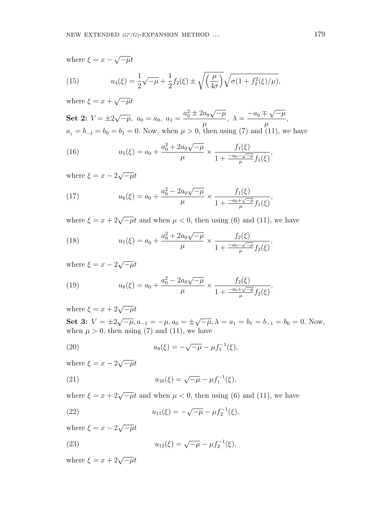where  $\xi = x -$ √  $\overline{-\mu}t$ 

(15) 
$$
u_4(\xi) = \frac{1}{2}\sqrt{-\mu} + \frac{1}{2}f_2(\xi) \pm \sqrt{\left(\frac{\mu}{4\sigma}\right)}\sqrt{\sigma(1 + f_2^2(\xi)/\mu)},
$$

where  $\xi = x +$ √  $\overline{-\mu}t$ 

Set 2:  $V = \pm 2$ √  $\overline{-\mu}$ ,  $a_0 = a_0$ ,  $a_1 =$  $a_0^2 \pm 2a_0$ √  $-\mu$  $\mu$  $\lambda = \frac{-a_0 \mp a_0}{\sqrt{a_0^2 + a_0^2}}$ √  $-\mu$  $\mu$ ,  $a_1 = b_{-1} = b_0 = b_1 = 0$ . Now, when  $\mu > 0$ , then using (7) and (11), we have

(16) 
$$
u_5(\xi) = a_0 + \frac{a_0^2 + 2a_0\sqrt{-\mu}}{\mu} \times \frac{f_1(\xi)}{1 + \frac{-a_0 - \sqrt{-\mu}}{\mu} f_1(\xi)},
$$

where  $\xi = x - 2$ √  $=$ μt

(17) 
$$
u_6(\xi) = a_0 + \frac{a_0^2 - 2a_0\sqrt{-\mu}}{\mu} \times \frac{f_1(\xi)}{1 + \frac{-a_0 + \sqrt{-\mu}}{\mu} f_1(\xi)},
$$

where  $\xi = x + 2\sqrt{-\mu}t$  and when  $\mu < 0$ , then using (6) and (11), we have

(18) 
$$
u_7(\xi) = a_0 + \frac{a_0^2 + 2a_0\sqrt{-\mu}}{\mu} \times \frac{f_2(\xi)}{1 + \frac{-a_0 - \sqrt{-\mu}}{\mu} f_2(\xi)},
$$

where  $\xi = x - 2$ √  $=$ μt

(19) 
$$
u_8(\xi) = a_0 + \frac{a_0^2 - 2a_0\sqrt{-\mu}}{\mu} \times \frac{f_2(\xi)}{1 + \frac{-a_0 + \sqrt{-\mu}}{\mu} f_2(\xi)},
$$

where  $\xi = x + 2\sqrt{-\mu}t$ 

Set 3:  $V = \pm 2$ √  $\overline{-\mu}, a_{-1} = -\mu, a_0 = \pm$ √  $\overline{-\mu}, \lambda = a_1 = b_1 = b_{-1} = b_0 = 0.$  Now, when  $\mu > 0$ , then using (7) and (11), we have

(20) 
$$
u_9(\xi) = -\sqrt{-\mu} - \mu f_1^{-1}(\xi),
$$

where  $\xi = x - 2$ √  $=$ μt

(21) 
$$
u_{10}(\xi) = \sqrt{-\mu} - \mu f_1^{-1}(\xi),
$$

where  $\xi = x + 2\sqrt{-\mu}t$  and when  $\mu < 0$ , then using (6) and (11), we have

(22) 
$$
u_{11}(\xi) = -\sqrt{-\mu} - \mu f_2^{-1}(\xi),
$$

where  $\xi = x - 2$ √  $=$ μt

(23) 
$$
u_{12}(\xi) = \sqrt{-\mu} - \mu f_2^{-1}(\xi),
$$

where  $\xi = x + 2\sqrt{-\mu}t$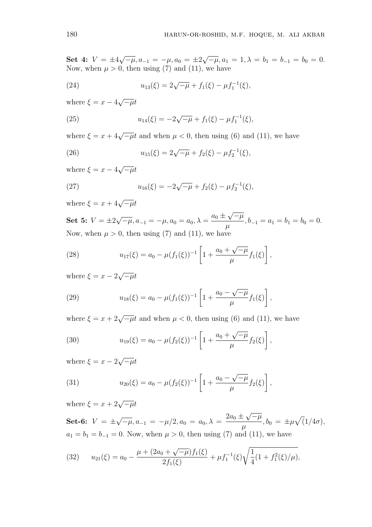Set 4:  $V = \pm 4$ √  $\overline{-\mu}$ ,  $a_{-1} = -\mu$ ,  $a_0 = \pm 2$ √  $\overline{-\mu}$ ,  $a_1 = 1$ ,  $\lambda = b_1 = b_{-1} = b_0 = 0$ . Now, when  $\mu > 0$ , then using (7) and (11), we have

(24) 
$$
u_{13}(\xi) = 2\sqrt{-\mu} + f_1(\xi) - \mu f_1^{-1}(\xi),
$$

where  $\xi = x - 4$ √  $=$ μt

(25) 
$$
u_{14}(\xi) = -2\sqrt{-\mu} + f_1(\xi) - \mu f_1^{-1}(\xi),
$$

where  $\xi = x + 4\sqrt{-\mu}t$  and when  $\mu < 0$ , then using (6) and (11), we have

(26) 
$$
u_{15}(\xi) = 2\sqrt{-\mu} + f_2(\xi) - \mu f_2^{-1}(\xi),
$$

where  $\xi = x - 4$ √  $=$ μt

(27) 
$$
u_{16}(\xi) = -2\sqrt{-\mu} + f_2(\xi) - \mu f_2^{-1}(\xi),
$$

where  $\xi = x + 4\sqrt{-\mu}t$ 

Set 5:  $V = \pm 2$ √  $\overline{-\mu}$ ,  $a_{-1} = -\mu$ ,  $a_0 = a_0$ ,  $\lambda =$  $a_0 \pm$ √  $\overline{-\mu}$  $\frac{\mathcal{V} - \mu}{\mu}, b_{-1} = a_1 = b_1 = b_0 = 0.$ Now, when  $\mu > 0$ , then using (7) and (11), we have

(28) 
$$
u_{17}(\xi) = a_0 - \mu(f_1(\xi))^{-1} \left[ 1 + \frac{a_0 + \sqrt{-\mu}}{\mu} f_1(\xi) \right],
$$

where  $\xi = x - 2$ √  $=$ μt

(29) 
$$
u_{18}(\xi) = a_0 - \mu(f_1(\xi))^{-1} \left[ 1 + \frac{a_0 - \sqrt{-\mu}}{\mu} f_1(\xi) \right],
$$

where  $\xi = x + 2\sqrt{-\mu}t$  and when  $\mu < 0$ , then using (6) and (11), we have

(30) 
$$
u_{19}(\xi) = a_0 - \mu(f_2(\xi))^{-1} \left[ 1 + \frac{a_0 + \sqrt{-\mu}}{\mu} f_2(\xi) \right],
$$

where  $\xi = x - 2$ √  $\overline{-\mu}t$ 

(31) 
$$
u_{20}(\xi) = a_0 - \mu(f_2(\xi))^{-1} \left[ 1 + \frac{a_0 - \sqrt{-\mu}}{\mu} f_2(\xi) \right],
$$

where  $\xi = x + 2\sqrt{-\mu}t$ 

Set-6:  $V = \pm$ √  $\overline{-\mu}, a_{-1} = -\mu/2, a_0 = a_0, \lambda =$  $2a_0 \pm$ √  $-\mu$  $\frac{\partial}{\partial \mu} \frac{\partial}{\partial t} + b_0 = \pm \mu$ p  $(1/4\sigma),$  $a_1 = b_1 = b_{-1} = 0$ . Now, when  $\mu > 0$ , then using (7) and (11), we have

(32) 
$$
u_{21}(\xi) = a_0 - \frac{\mu + (2a_0 + \sqrt{-\mu})f_1(\xi)}{2f_1(\xi)} + \mu f_1^{-1}(\xi)\sqrt{\frac{1}{4}(1 + f_1^2(\xi)/\mu)},
$$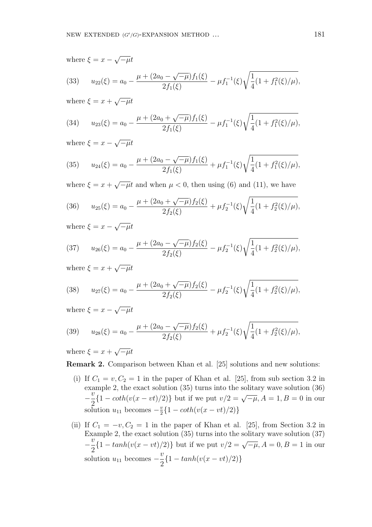where  $\xi = x -$ √  $\overline{-\mu}t$  $u_{22}(\xi) = a_0 \mu + (2a_0 -$ √  $\overline{-\mu}$ ) $f_1(\xi)$  $2f_1(\xi)$  $-\mu f_1^{-1}(\xi)$ r 1 4 (33)  $u_{22}(\xi) = a_0 - \frac{\mu + (2a_0 - \sqrt{\mu})J_1(\xi)}{2f_1(\xi)} - \mu f_1^{-1}(\xi)\sqrt{\frac{1}{4}}(1 + f_1^2(\xi)/\mu),$ √

where  $\xi = x +$  $\overline{-\mu}t$ 

(34) 
$$
u_{23}(\xi) = a_0 - \frac{\mu + (2a_0 + \sqrt{-\mu})f_1(\xi)}{2f_1(\xi)} - \mu f_1^{-1}(\xi)\sqrt{\frac{1}{4}(1 + f_1^2(\xi)/\mu)},
$$

where  $\xi = x -$ √  $\overline{-\mu}t$ 

(35) 
$$
u_{24}(\xi) = a_0 - \frac{\mu + (2a_0 - \sqrt{-\mu})f_1(\xi)}{2f_1(\xi)} + \mu f_1^{-1}(\xi)\sqrt{\frac{1}{4}(1 + f_1^2(\xi)/\mu)},
$$

where  $\xi = x +$ √  $\overline{-\mu}t$  and when  $\mu < 0$ , then using (6) and (11), we have

(36) 
$$
u_{25}(\xi) = a_0 - \frac{\mu + (2a_0 + \sqrt{-\mu})f_2(\xi)}{2f_2(\xi)} + \mu f_2^{-1}(\xi)\sqrt{\frac{1}{4}(1 + f_2^2(\xi)/\mu)},
$$

where  $\xi = x -$ √  $\overline{-\mu}t$ 

(37) 
$$
u_{26}(\xi) = a_0 - \frac{\mu + (2a_0 - \sqrt{-\mu})f_2(\xi)}{2f_2(\xi)} - \mu f_2^{-1}(\xi)\sqrt{\frac{1}{4}(1 + f_2^2(\xi)/\mu)},
$$

where  $\xi = x +$ √  $=$ μt

(38) 
$$
u_{27}(\xi) = a_0 - \frac{\mu + (2a_0 + \sqrt{-\mu})f_2(\xi)}{2f_2(\xi)} - \mu f_2^{-1}(\xi)\sqrt{\frac{1}{4}(1 + f_2^2(\xi)/\mu)},
$$

where  $\xi = x -$ √  $\overline{-\mu}t$ 

(39) 
$$
u_{28}(\xi) = a_0 - \frac{\mu + (2a_0 - \sqrt{-\mu})f_2(\xi)}{2f_2(\xi)} + \mu f_2^{-1}(\xi)\sqrt{\frac{1}{4}(1 + f_2^2(\xi)/\mu)},
$$

where  $\xi = x +$ √  $\overline{-\mu}t$ 

Remark 2. Comparison between Khan et al. [25] solutions and new solutions:

- (i) If  $C_1 = v, C_2 = 1$  in the paper of Khan et al. [25], from sub section 3.2 in example 2, the exact solution (35) turns into the solitary wave solution (36) −  $\tilde{v}$ 2  ${1 - \coth(v(x - vt)/2)}$  but if we put  $v/2 = \sqrt{-\mu}, A = 1, B = 0$  in our solution  $u_{11}$  becomes  $-\frac{v}{2}$  $\frac{v}{2}$ {1 – coth(v(x – vt)/2)}
- (ii) If  $C_1 = -v$ ,  $C_2 = 1$  in the paper of Khan et al. [25], from Section 3.2 in Example 2, the exact solution  $(35)$  turns into the solitary wave solution  $(37)$ −  $\tilde{v}$ 2  ${1 - tanh(v(x - vt)/2)}$  but if we put  $v/2 = \sqrt{-\mu}, A = 0, B = 1$  in our solution  $u_{11}$  becomes –  $\overline{v}$ 2  ${1-tanh(v(x-vt)/2)}$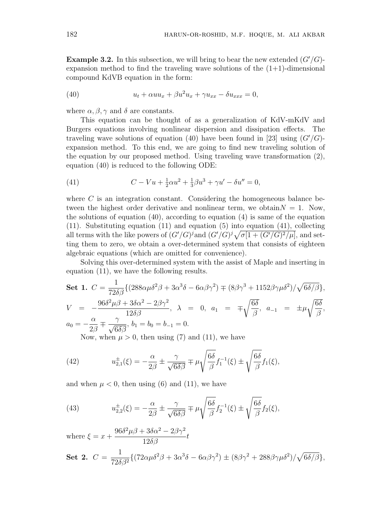**Example 3.2.** In this subsection, we will bring to bear the new extended  $(G'/G)$ expansion method to find the traveling wave solutions of the  $(1+1)$ -dimensional compound KdVB equation in the form:

(40) 
$$
u_t + \alpha u u_x + \beta u^2 u_x + \gamma u_{xx} - \delta u_{xxx} = 0,
$$

where  $\alpha, \beta, \gamma$  and  $\delta$  are constants.

This equation can be thought of as a generalization of KdV-mKdV and Burgers equations involving nonlinear dispersion and dissipation effects. The traveling wave solutions of equation (40) have been found in [23] using  $(G'/G)$ expansion method. To this end, we are going to find new traveling solution of the equation by our proposed method. Using traveling wave transformation (2), equation (40) is reduced to the following ODE:

(41) 
$$
C - Vu + \frac{1}{2}\alpha u^2 + \frac{1}{3}\beta u^3 + \gamma u' - \delta u'' = 0,
$$

where  $C$  is an integration constant. Considering the homogeneous balance between the highest order derivative and nonlinear term, we obtain  $N = 1$ . Now, the solutions of equation  $(40)$ , according to equation  $(4)$  is same of the equation (11). Substituting equation (11) and equation (5) into equation (41), collecting (11). Substituting equation (11) and equation (5) into equation (41), collecting all terms with the like powers of  $(G'/G)^{j}$  and  $(G'/G)^{j} \sqrt{\sigma[1 + (G'/G)^{2}/\mu]}$ , and setting them to zero, we obtain a over-determined system that consists of eighteen algebraic equations (which are omitted for convenience).

Solving this over-determined system with the assist of Maple and inserting in equation (11), we have the following results.

**Set 1.** 
$$
C = \frac{1}{72\delta\beta} \{ (288\alpha\mu\delta^2\beta + 3\alpha^3\delta - 6\alpha\beta\gamma^2) \mp (8\beta\gamma^3 + 1152\beta\gamma\mu\delta^2) / \sqrt{6\delta/\beta} \},
$$

$$
V = -\frac{96\delta^2\mu\beta + 3\delta\alpha^2 - 2\beta\gamma^2}{12\delta\beta}, \quad \lambda = 0, \quad a_1 = \mp\sqrt{\frac{6\delta}{\beta}}, \quad a_{-1} = \pm\mu\sqrt{\frac{6\delta}{\beta}},
$$

$$
a_0 = -\frac{\alpha}{2\beta} \mp \frac{\gamma}{\sqrt{6\delta\beta}}, \quad b_1 = b_0 = b_{-1} = 0.
$$

Now, when  $\mu > 0$ , then using (7) and (11), we have

(42) 
$$
u_{2,1}^{\pm}(\xi) = -\frac{\alpha}{2\beta} \pm \frac{\gamma}{\sqrt{6\delta\beta}} \mp \mu \sqrt{\frac{6\delta}{\beta}} f_1^{-1}(\xi) \pm \sqrt{\frac{6\delta}{\beta}} f_1(\xi),
$$

and when  $\mu < 0$ , then using (6) and (11), we have

(43) 
$$
u_{2,2}^{\pm}(\xi) = -\frac{\alpha}{2\beta} \pm \frac{\gamma}{\sqrt{6\delta\beta}} \mp \mu \sqrt{\frac{6\delta}{\beta}} f_2^{-1}(\xi) \pm \sqrt{\frac{6\delta}{\beta}} f_2(\xi),
$$

where  $\xi = x +$  $96\delta^2\mu\beta + 3\delta\alpha^2 - 2\beta\gamma^2$  $\frac{36\alpha}{12\delta\beta}t$ 

**Set 2.** 
$$
C = \frac{1}{72\delta\beta^2} \{ (72\alpha\mu\delta^2\beta + 3\alpha^3\delta - 6\alpha\beta\gamma^2) \pm (8\beta\gamma^2 + 288\beta\gamma\mu\delta^2) / \sqrt{6\delta/\beta} \},
$$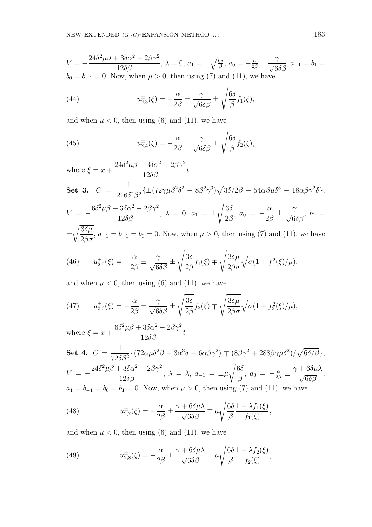$$
V = -\frac{24\delta^2 \mu \beta + 3\delta \alpha^2 - 2\beta \gamma^2}{12\delta \beta}, \lambda = 0, a_1 = \pm \sqrt{\frac{6\delta}{\beta}}, a_0 = -\frac{\alpha}{2\beta} \pm \frac{\gamma}{\sqrt{6\delta\beta}}, a_{-1} = b_1 = b_0 = b_{-1} = 0.
$$
 Now, when  $\mu > 0$ , then using (7) and (11), we have

(44) 
$$
u_{2,3}^{\pm}(\xi) = -\frac{\alpha}{2\beta} \pm \frac{\gamma}{\sqrt{6\delta\beta}} \pm \sqrt{\frac{6\delta}{\beta}} f_1(\xi),
$$

and when  $\mu < 0$ , then using (6) and (11), we have

(45) 
$$
u_{2,4}^{\pm}(\xi) = -\frac{\alpha}{2\beta} \pm \frac{\gamma}{\sqrt{6\delta\beta}} \pm \sqrt{\frac{6\delta}{\beta}} f_2(\xi),
$$

where  $\xi = x +$  $24\delta^2\mu\beta + 3\delta\alpha^2 - 2\beta\gamma^2$  $\frac{36\alpha}{12\delta\beta}t$ 

**Set 3.** 
$$
C = \frac{1}{216\delta^2\beta^2} \left\{ \pm (72\gamma\mu\beta^2\delta^2 + 8\beta^2\gamma^3) \sqrt{3\delta/2\beta} + 54\alpha\beta\mu\delta^3 - 18\alpha\beta\gamma^2\delta \right\},
$$

$$
V = -\frac{6\delta^2 \mu \beta + 3\delta \alpha^2 - 2\beta \gamma^2}{12\delta \beta}, \lambda = 0, a_1 = \pm \sqrt{\frac{3\delta}{2\beta}}, a_0 = -\frac{\alpha}{2\beta} \pm \frac{\gamma}{\sqrt{6\delta \beta}}, b_1 = \sqrt{\frac{3\delta \mu}{\beta \beta}}
$$

±  $\frac{36\mu}{2\beta\sigma}$ ,  $a_{-1} = b_{-1} = b_0 = 0$ . Now, when  $\mu > 0$ , then using (7) and (11), we have s s

(46) 
$$
u_{2,5}^{\pm}(\xi) = -\frac{\alpha}{2\beta} \pm \frac{\gamma}{\sqrt{6\delta\beta}} \pm \sqrt{\frac{3\delta}{2\beta}} f_1(\xi) \mp \sqrt{\frac{3\delta\mu}{2\beta\sigma}} \sqrt{\sigma(1 + f_1^2(\xi)/\mu)},
$$

and when  $\mu < 0$ , then using (6) and (11), we have

(47) 
$$
u_{2,6}^{\pm}(\xi) = -\frac{\alpha}{2\beta} \pm \frac{\gamma}{\sqrt{6\delta\beta}} \pm \sqrt{\frac{3\delta}{2\beta}} f_2(\xi) \mp \sqrt{\frac{3\delta\mu}{2\beta\sigma}} \sqrt{\sigma(1 + f_2^2(\xi)/\mu)},
$$

where  $\xi = x +$  $6\delta^2\mu\beta + 3\delta\alpha^2 - 2\beta\gamma^2$  $\frac{36\alpha-2\beta}{12\delta\beta}t$ 

Set 4.  $C =$ 1  $72\delta\beta^2$  $\{(72\alpha\mu\delta^2\beta + 3\alpha^3\delta - 6\alpha\beta\gamma^2) \mp (8\beta\gamma^2 + 288\beta\gamma\mu\delta^2)/$ p  $6\delta/\beta\},\$  $V = 24\delta^2\mu\beta + 3\delta\alpha^2 - 2\beta\gamma^2$  $\frac{36\alpha}{12\delta\beta}$ ,  $\lambda = \lambda$ ,  $a_{-1} = \pm \mu$ r  $6\delta$  $\frac{\partial o}{\partial \beta}$ ,  $a_0 = -\frac{\alpha}{2\beta} \pm \frac{\beta}{2\beta}$  $\frac{\gamma + 6\delta\mu\lambda}{\sqrt{250}}$  $6\delta\beta$ ,  $a_1 = b_{-1} = b_0 = b_1 = 0$ . Now, when  $\mu > 0$ , then using (7) and (11), we have

(48) 
$$
u_{2,7}^{\pm}(\xi) = -\frac{\alpha}{2\beta} \pm \frac{\gamma + 6\delta\mu\lambda}{\sqrt{6\delta\beta}} \mp \mu \sqrt{\frac{6\delta}{\beta}} \frac{1 + \lambda f_1(\xi)}{f_1(\xi)},
$$

and when  $\mu < 0$ , then using (6) and (11), we have

(49) 
$$
u_{2,8}^{\pm}(\xi) = -\frac{\alpha}{2\beta} \pm \frac{\gamma + 6\delta\mu\lambda}{\sqrt{6\delta\beta}} \mp \mu \sqrt{\frac{6\delta}{\beta}} \frac{1 + \lambda f_2(\xi)}{f_2(\xi)},
$$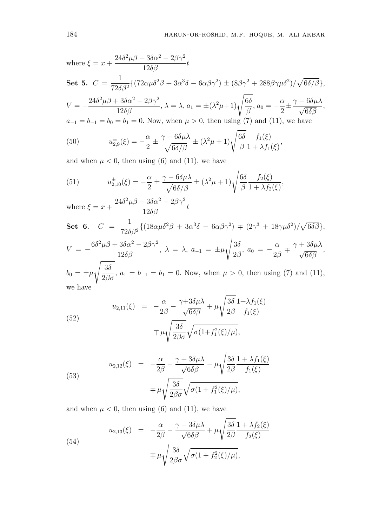where 
$$
\xi = x + \frac{24\delta^2 \mu \beta + 3\delta \alpha^2 - 2\beta \gamma^2}{12\delta \beta} t
$$
  
\n**Set 5.**  $C = \frac{1}{72\delta \beta^2} \{ (72\alpha \mu \delta^2 \beta + 3\alpha^3 \delta - 6\alpha \beta \gamma^2) \pm (8\beta \gamma^2 + 288\beta \gamma \mu \delta^2) / \sqrt{6\delta/\beta} \},$   
\n $V = -\frac{24\delta^2 \mu \beta + 3\delta \alpha^2 - 2\beta \gamma^2}{12\delta \beta}, \lambda = \lambda, a_1 = \pm(\lambda^2 \mu + 1) \sqrt{\frac{6\delta}{\beta}}, a_0 = -\frac{\alpha}{2} \pm \frac{\gamma - 6\delta \mu \lambda}{\sqrt{6\delta \beta}},$   
\n $a_{-1} = b_{-1} = b_0 = b_1 = 0$ . Now, when  $\mu > 0$ , then using (7) and (11), we have  
\n(50)  $u_{2,9}^{\pm}(\xi) = -\frac{\alpha}{2} \pm \frac{\gamma - 6\delta \mu \lambda}{\sqrt{6\delta/\beta}} \pm (\lambda^2 \mu + 1) \sqrt{\frac{6\delta}{\beta}} \frac{f_1(\xi)}{1 + \lambda f_1(\xi)},$ 

and when  $\mu < 0$ , then using (6) and (11), we have

(51) 
$$
u_{2,10}^{\pm}(\xi) = -\frac{\alpha}{2} \pm \frac{\gamma - 6\delta\mu\lambda}{\sqrt{6\delta/\beta}} \pm (\lambda^2\mu + 1)\sqrt{\frac{6\delta}{\beta}} \frac{f_2(\xi)}{1 + \lambda f_2(\xi)},
$$

where  $\xi = x +$  $24\delta^2\mu\beta + 3\delta\alpha^2 - 2\beta\gamma^2$  $\frac{36\alpha-2\beta}{12\delta\beta}t$ Set 6.  $C =$ 1  $72\delta\beta^2$  $\{(18\alpha\mu\delta^2\beta + 3\alpha^3\delta - 6\alpha\beta\gamma^2) \mp (2\gamma^3 + 18\gamma\mu\delta^2)/$ p  $6\delta\beta\},\,$  $V = 6\delta^2\mu\beta + 3\delta\alpha^2 - 2\beta\gamma^2$  $\frac{36\alpha}{12\delta\beta}$ ,  $\lambda = \lambda$ ,  $a_{-1} = \pm \mu$ s  $3\delta$  $\frac{\partial}{\partial \beta}$ ,  $a_0 =$ α 2β ∓  $\frac{\gamma + 3\delta\mu\lambda}{\sqrt{250}}$  $6\delta\beta$ ,  $b_0 = \pm \mu$ s  $3\delta$  $\frac{36}{2\beta\sigma}$ ,  $a_1 = b_{-1} = b_1 = 0$ . Now, when  $\mu > 0$ , then using (7) and (11),

we have

(52)  

$$
u_{2,11}(\xi) = -\frac{\alpha}{2\beta} - \frac{\gamma + 3\delta\mu\lambda}{\sqrt{6\delta\beta}} + \mu \sqrt{\frac{3\delta}{2\beta}} \frac{1 + \lambda f_1(\xi)}{f_1(\xi)}
$$

$$
= \mu \sqrt{\frac{3\delta}{2\beta\sigma}} \sqrt{\sigma(1 + f_1^2(\xi)/\mu)},
$$

(53)  

$$
u_{2,12}(\xi) = -\frac{\alpha}{2\beta} + \frac{\gamma + 3\delta\mu\lambda}{\sqrt{6\delta\beta}} - \mu\sqrt{\frac{3\delta}{2\beta}}\frac{1 + \lambda f_1(\xi)}{f_1(\xi)}
$$

$$
\mp \mu\sqrt{\frac{3\delta}{2\beta\sigma}}\sqrt{\sigma(1 + f_1^2(\xi)/\mu)},
$$

and when  $\mu < 0$ , then using (6) and (11), we have

(54)  

$$
u_{2,13}(\xi) = -\frac{\alpha}{2\beta} - \frac{\gamma + 3\delta\mu\lambda}{\sqrt{6\delta\beta}} + \mu\sqrt{\frac{3\delta}{2\beta}} \frac{1 + \lambda f_2(\xi)}{f_2(\xi)}
$$

$$
\mp \mu\sqrt{\frac{3\delta}{2\beta\sigma}}\sqrt{\sigma(1 + f_2^2(\xi)/\mu)},
$$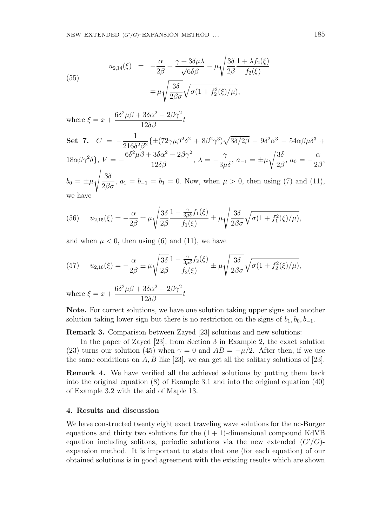$6\delta^2\mu\beta + 3\delta\alpha^2 - 2\beta\gamma^2$ 

(55)  

$$
u_{2,14}(\xi) = -\frac{\alpha}{2\beta} + \frac{\gamma + 3\delta\mu\lambda}{\sqrt{6\delta\beta}} - \mu \sqrt{\frac{3\delta}{2\beta}} \frac{1 + \lambda f_2(\xi)}{f_2(\xi)}
$$

$$
\mp \mu \sqrt{\frac{3\delta}{2\beta\sigma}} \sqrt{\sigma(1 + f_2^2(\xi)/\mu)},
$$

where  $\xi = x +$  $\frac{36\alpha-2\beta}{12\delta\beta}t$ Set 7.  $C = -$ 1  $\frac{1}{216\delta^2\beta^2} \left\{ \pm (72\gamma\mu\beta^2\delta^2 + 8\beta^2\gamma^3) \right\}$ p  $\overline{3 \delta /2 \beta} - 9 \delta^2 \alpha^3 - 54 \alpha \beta \mu \delta^3 +$  $18\alpha\beta\gamma^2\delta$ ,  $V = 6\delta^2\mu\beta + 3\delta\alpha^2 - 2\beta\gamma^2$  $\frac{36\alpha}{12\delta\beta} \xrightarrow{\Delta\rho} \lambda = \gamma$  $\frac{1}{3\mu\delta}$ ,  $a_{-1} = \pm \mu$ r  $3\delta$  $\frac{36}{2\beta}$ ,  $a_0 =$ α  $2\beta$ ,  $b_0 = \pm \mu$ s  $3\delta$  $\frac{36}{2\beta\sigma}$ ,  $a_1 = b_{-1} = b_1 = 0$ . Now, when  $\mu > 0$ , then using (7) and (11), we have

(56) 
$$
u_{2,15}(\xi) = -\frac{\alpha}{2\beta} \pm \mu \sqrt{\frac{3\delta}{2\beta}} \frac{1 - \frac{\gamma}{3\mu\delta} f_1(\xi)}{f_1(\xi)} \pm \mu \sqrt{\frac{3\delta}{2\beta\sigma}} \sqrt{\sigma (1 + f_1^2(\xi)/\mu)},
$$

and when  $\mu < 0$ , then using (6) and (11), we have

(57) 
$$
u_{2,16}(\xi) = -\frac{\alpha}{2\beta} \pm \mu \sqrt{\frac{3\delta}{2\beta}} \frac{1 - \frac{\gamma}{3\mu\delta} f_2(\xi)}{f_2(\xi)} \pm \mu \sqrt{\frac{3\delta}{2\beta\sigma}} \sqrt{\sigma (1 + f_2^2(\xi)/\mu)},
$$

where  $\xi = x +$  $6\delta^2\mu\beta + 3\delta\alpha^2 - 2\beta\gamma^2$  $\frac{36\alpha-2\beta}{12\delta\beta}t$ 

Note. For correct solutions, we have one solution taking upper signs and another solution taking lower sign but there is no restriction on the signs of  $b_1, b_0, b_{-1}$ .

Remark 3. Comparison between Zayed [23] solutions and new solutions:

In the paper of Zayed [23], from Section 3 in Example 2, the exact solution (23) turns our solution (45) when  $\gamma = 0$  and  $AB = -\mu/2$ . After then, if we use the same conditions on  $A, B$  like [23], we can get all the solitary solutions of [23].

Remark 4. We have verified all the achieved solutions by putting them back into the original equation (8) of Example 3.1 and into the original equation (40) of Example 3.2 with the aid of Maple 13.

### 4. Results and discussion

We have constructed twenty eight exact traveling wave solutions for the nc-Burger equations and thirty two solutions for the  $(1 + 1)$ -dimensional compound KdVB equation including solitons, periodic solutions via the new extended  $(G'/G)$ expansion method. It is important to state that one (for each equation) of our obtained solutions is in good agreement with the existing results which are shown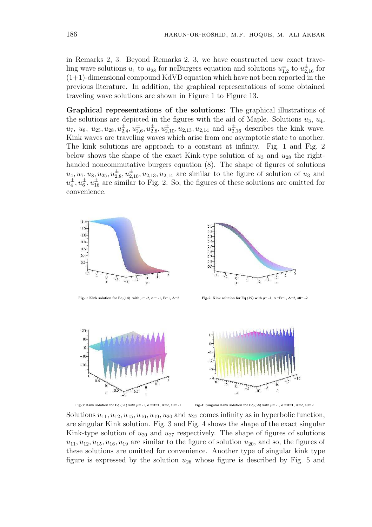in Remarks 2, 3. Beyond Remarks 2, 3, we have constructed new exact traveling wave solutions  $u_1$  to  $u_{28}$  for ncBurgers equation and solutions  $u_{1,2}^{\pm}$  to  $u_{2,16}^{\pm}$  for  $(1+1)$ -dimensional compound KdVB equation which have not been reported in the previous literature. In addition, the graphical representations of some obtained traveling wave solutions are shown in Figure 1 to Figure 13.

Graphical representations of the solutions: The graphical illustrations of the solutions are depicted in the figures with the aid of Maple. Solutions  $u_3, u_4$ ,  $u_7, u_8, u_{25}, u_{28}, u_{2,4}^{\pm}, u_{2,6}^{\pm}, u_{2,8}^{\pm}, u_{2,10}^{\pm}, u_{2,13}, u_{2,14}$  and  $u_{2,16}^{\pm}$  describes the kink wave. Kink waves are traveling waves which arise from one asymptotic state to another. The kink solutions are approach to a constant at infinity. Fig. 1 and Fig. 2 below shows the shape of the exact Kink-type solution of  $u_3$  and  $u_{28}$  the righthanded noncommutative burgers equation  $(8)$ . The shape of figures of solutions  $u_4, u_7, u_8, u_{25}, u_{2,8}^{\pm}, u_{2,10}^{\pm}, u_{2,13}, u_{2,14}$  are similar to the figure of solution of  $u_3$  and  $u_4^{\pm}, u_6^{\pm}, u_{16}^{\pm}$  are similar to Fig. 2. So, the figures of these solutions are omitted for convenience.



Fig-1: Kink solution for Eq (14) with  $\mu$  = -2,  $\sigma$  = -1, B=1, A=2



Fig-2: Kink solution for Eq (39) with  $\mu$ =-1,  $\sigma$ =B=1, A=2, a0=-2



Fig-3: Kink solution for Eq (31) with  $\mu$ =-1,  $\sigma$ =B=1, A=2, a0=-1

Fig-4: Singular Kink solution for Eq (38) with  $\mu$ =-1,  $\sigma$ =B=1, A=2, a0=-2

Solutions  $u_{11}, u_{12}, u_{15}, u_{16}, u_{19}, u_{20}$  and  $u_{27}$  comes infinity as in hyperbolic function, are singular Kink solution. Fig. 3 and Fig. 4 shows the shape of the exact singular Kink-type solution of  $u_{20}$  and  $u_{27}$  respectively. The shape of figures of solutions  $u_{11}, u_{12}, u_{15}, u_{16}, u_{19}$  are similar to the figure of solution  $u_{20}$ , and so, the figures of these solutions are omitted for convenience. Another type of singular kink type figure is expressed by the solution  $u_{26}$  whose figure is described by Fig. 5 and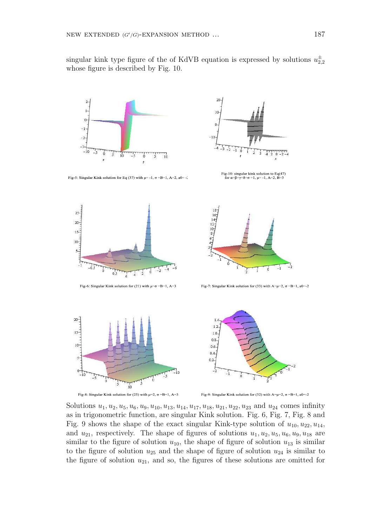singular kink type figure of the of KdVB equation is expressed by solutions  $u_{2,2}^{\pm}$ whose figure is described by Fig. 10.



Fig-5: Singular Kink solution for Eq (37) with  $\mu$ = -1,  $\sigma$  =B=1, A=2, a0= -2





 $18$ <br> $16$ <br> $14$ <br> $12$ <br> $10$ <br> $8$ <br> $6$ <br> $4$ 

Fig-6: Singular Kink solution for (21) with  $\mu = \sigma = B = 1$ , A=3

Fig-7: Singular Kink solution for (33) with  $A=\mu=2$ ,  $\sigma =B=1$ , a0=-2



Fig-8: Singular Kink solution for (25) with  $\mu=2$ ,  $\sigma = B=1$ , A=3



Fig-9: Singular Kink solution for (32) with  $A=\mu=2$ ,  $\sigma =B=1$ , a0=-2

Solutions  $u_1, u_2, u_5, u_6, u_9, u_{10}, u_{13}, u_{14}, u_{17}, u_{18}, u_{21}, u_{22}, u_{23}$  and  $u_{24}$  comes infinity as in trigonometric function, are singular Kink solution. Fig. 6, Fig. 7, Fig. 8 and Fig. 9 shows the shape of the exact singular Kink-type solution of  $u_{10}, u_{22}, u_{14}$ , and  $u_{21}$ , respectively. The shape of figures of solutions  $u_1, u_2, u_5, u_6, u_9, u_{18}$  are similar to the figure of solution  $u_{10}$ , the shape of figure of solution  $u_{13}$  is similar to the figure of solution  $u_{25}$  and the shape of figure of solution  $u_{24}$  is similar to the figure of solution  $u_{21}$ , and so, the figures of these solutions are omitted for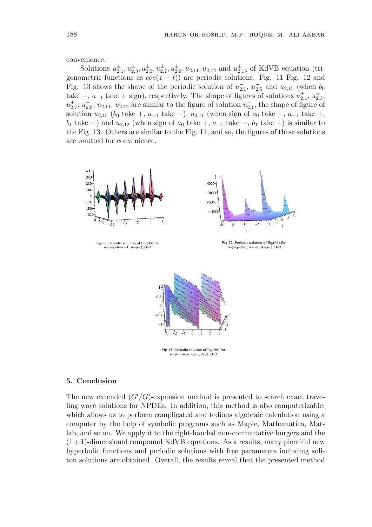convenience.

Solutions  $u_{2,1}^{\pm}, u_{2,3}^{\pm}, u_{2,5}^{\pm}, u_{2,7}^{\pm}, u_{2,9}^{\pm}, u_{2,11}, u_{2,12}$  and  $u_{2,15}^{\pm}$  of KdVB equation (trigonometric functions as  $cos(x - t)$  are periodic solutions. Fig. 11 Fig. 12 and Fig. 13 shows the shape of the periodic solution of  $u_{2,1}$ ,  $u_{2,5}^-$  and  $u_{2,15}$  (when  $b_0$ take  $-, a_{-1}$  take + sign), respectively. The shape of figures of solutions  $u_{2,1}^+, u_{2,3}^{\pm}$  $u_{2,7}^{\pm}, u_{2,9}^{\pm}, u_{2,11}, u_{2,12}$  are similar to the figure of solution  $u_{2,1}$ , the shape of figure of solution  $u_{2,15}$  ( $b_0$  take +,  $a_{-1}$  take −),  $u_{2,11}$  (when sign of  $a_0$  take −,  $a_{-1}$  take +, b<sub>1</sub> take  $-$ ) and  $u_{2,12}$  (when sign of  $a_0$  take  $+$ ,  $a_{-1}$  take  $-$ ,  $b_1$  take  $+$ ) is similar to the Fig. 13. Others are similar to the Fig. 11, and so, the figures of these solutions are omitted for convenience.



# 5. Conclusion

The new extended  $(G'/G)$ -expansion method is presented to search exact traveling wave solutions for NPDEs. In addition, this method is also computerizable, which allows us to perform complicated and tedious algebraic calculation using a computer by the help of symbolic programs such as Maple, Mathematica, Matlab, and so on. We apply it to the right-handed non-commutative burgers and the  $(1 + 1)$ -dimensional compound KdVB equations. As a results, many plentiful new hyperbolic functions and periodic solutions with free parameters including soliton solutions are obtained. Overall, the results reveal that the presented method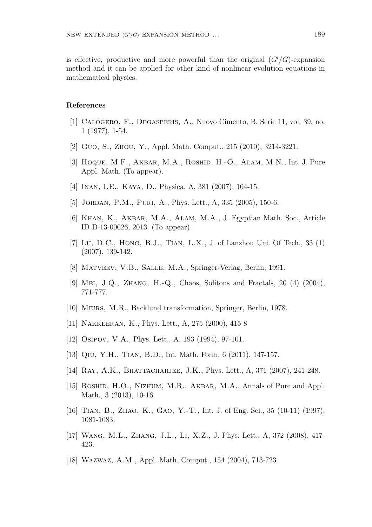is effective, productive and more powerful than the original  $(G'/G)$ -expansion method and it can be applied for other kind of nonlinear evolution equations in mathematical physics.

#### References

- [1] Calogero, F., Degasperis, A., Nuovo Cimento, B. Serie 11, vol. 39, no. 1 (1977), 1-54.
- [2] Guo, S., Zhou, Y., Appl. Math. Comput., 215 (2010), 3214-3221.
- [3] HOQUE, M.F., AKBAR, M.A., ROSHID, H.-O., ALAM, M.N., Int. J. Pure Appl. Math. (To appear).
- [4] Inan, I.E., Kaya, D., Physica, A, 381 (2007), 104-15.
- [5] JORDAN, P.M., PURI, A., Phys. Lett., A, 335 (2005), 150-6.
- [6] Khan, K., Akbar, M.A., Alam, M.A., J. Egyptian Math. Soc., Article ID D-13-00026, 2013. (To appear).
- [7] Lu, D.C., Hong, B.J., Tian, L.X., J. of Lanzhou Uni. Of Tech., 33 (1) (2007), 139-142.
- [8] Matveev, V.B., Salle, M.A., Springer-Verlag, Berlin, 1991.
- [9] Mei, J.Q., Zhang, H.-Q., Chaos, Solitons and Fractals, 20 (4) (2004), 771-777.
- [10] Miurs, M.R., Backlund transformation, Springer, Berlin, 1978.
- [11] Nakkeeran, K., Phys. Lett., A, 275 (2000), 415-8
- [12] Osipov, V.A., Phys. Lett., A, 193 (1994), 97-101.
- [13] Qiu, Y.H., Tian, B.D., Int. Math. Form, 6 (2011), 147-157.
- [14] RAY, A.K., BHATTACHARJEE, J.K., Phys. Lett., A, 371 (2007), 241-248.
- [15] ROSHID, H.O., NIZHUM, M.R., AKBAR, M.A., Annals of Pure and Appl. Math., 3 (2013), 10-16.
- [16] TIAN, B., ZHAO, K., GAO, Y.-T., Int. J. of Eng. Sci., 35 (10-11) (1997), 1081-1083.
- [17] Wang, M.L., Zhang, J.L., Li, X.Z., J. Phys. Lett., A, 372 (2008), 417- 423.
- [18] Wazwaz, A.M., Appl. Math. Comput., 154 (2004), 713-723.